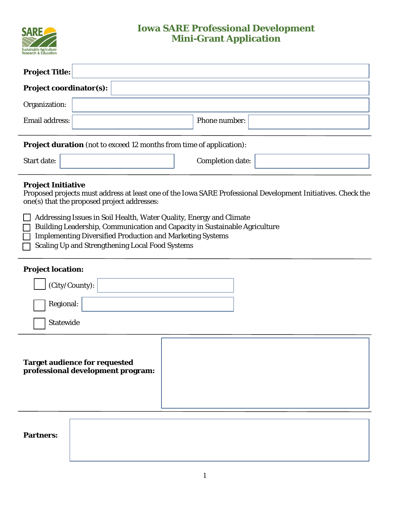

## **Iowa SARE Professional Development Mini-Grant Application**

|                                | <b>Project Title:</b> |  |  |  |  |
|--------------------------------|-----------------------|--|--|--|--|
| <b>Project coordinator(s):</b> |                       |  |  |  |  |
| Organization:                  |                       |  |  |  |  |
| Email address:                 | Phone number:         |  |  |  |  |

**Project duration** (not to exceed 12 months from time of application):

| <b>Start date:</b> | Completion date: |  |
|--------------------|------------------|--|
|                    |                  |  |

## **Project Initiative**

Proposed projects must address at least one of the Iowa SARE Professional Development Initiatives. Check the one(s) that the proposed project addresses:

Addressing Issues in Soil Health, Water Quality, Energy and Climate

- Building Leadership, Communication and Capacity in Sustainable Agriculture
- Implementing Diversified Production and Marketing Systems
- □ Scaling Up and Strengthening Local Food Systems

## **Project location:**

| (City/County):                                                     |  |
|--------------------------------------------------------------------|--|
| Regional:                                                          |  |
| Statewide                                                          |  |
| Target audience for requested<br>professional development program: |  |
| <b>Partners:</b>                                                   |  |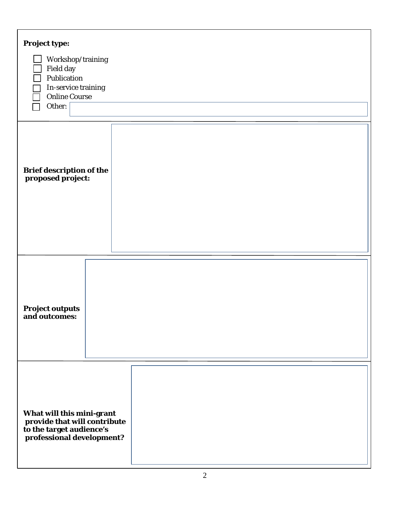| <b>Project type:</b><br>Workshop/training<br>Field day<br>Publication<br>In-service training<br><b>Online Course</b><br>Other: |  |
|--------------------------------------------------------------------------------------------------------------------------------|--|
| <b>Brief description of the</b><br>proposed project:                                                                           |  |
| <b>Project outputs</b><br>and outcomes:                                                                                        |  |
| What will this mini-grant<br>provide that will contribute<br>to the target audience's<br>professional development?             |  |